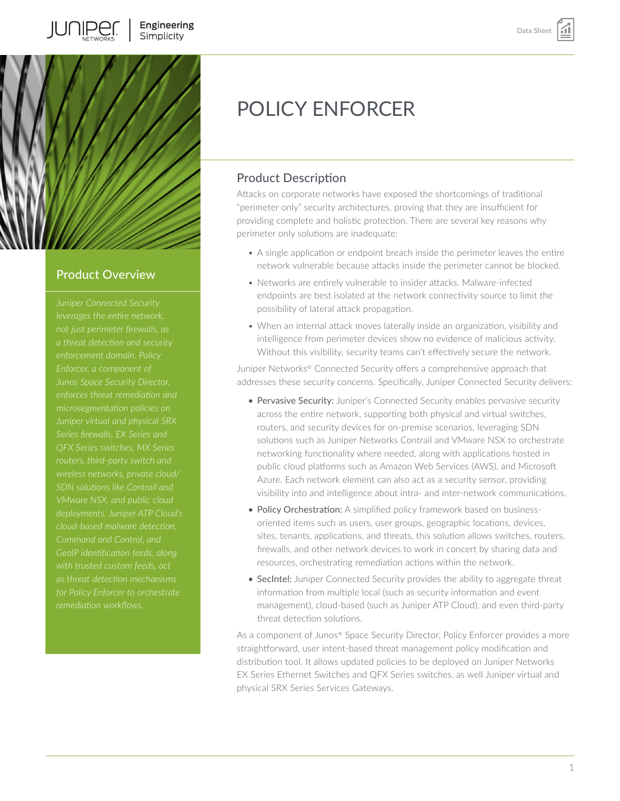

**JUNIPER** 

## Product Overview

*leverages the entire network, Junos Space Security Director, Juniper virtual and physical SRX SDN solutions like Contrail and VMware NSX, and public cloud cloud-based malware detection, Command and Control, and GeoIP identification feeds, along* 

# POLICY ENFORCER

# Product Description

Attacks on corporate networks have exposed the shortcomings of traditional "perimeter only" security architectures, proving that they are insufficient for providing complete and holistic protection. There are several key reasons why perimeter only solutions are inadequate:

- A single application or endpoint breach inside the perimeter leaves the entire network vulnerable because attacks inside the perimeter cannot be blocked.
- Networks are entirely vulnerable to insider attacks. Malware-infected endpoints are best isolated at the network connectivity source to limit the possibility of lateral attack propagation.
- When an internal attack moves laterally inside an organization, visibility and intelligence from perimeter devices show no evidence of malicious activity. Without this visibility, security teams can't effectively secure the network.

Juniper Networks® Connected Security offers a comprehensive approach that addresses these security concerns. Specifically, Juniper Connected Security delivers:

- Pervasive Security: Juniper's Connected Security enables pervasive security across the entire network, supporting both physical and virtual switches, routers, and security devices for on-premise scenarios, leveraging SDN solutions such as Juniper Networks Contrail and VMware NSX to orchestrate networking functionality where needed, along with applications hosted in public cloud platforms such as Amazon Web Services (AWS), and Microsoft Azure. Each network element can also act as a security sensor, providing visibility into and intelligence about intra- and inter-network communications.
- Policy Orchestration: A simplified policy framework based on businessoriented items such as users, user groups, geographic locations, devices, sites, tenants, applications, and threats, this solution allows switches, routers, firewalls, and other network devices to work in concert by sharing data and resources, orchestrating remediation actions within the network.
- SecIntel: Juniper Connected Security provides the ability to aggregate threat information from multiple local (such as security information and event management), cloud-based (such as Juniper ATP Cloud), and even third-party threat detection solutions.

As a component of Junos® Space Security Director, Policy Enforcer provides a more straightforward, user intent-based threat management policy modification and distribution tool. It allows updated policies to be deployed on Juniper Networks EX Series Ethernet Switches and QFX Series switches, as well Juniper virtual and physical SRX Series Services Gateways.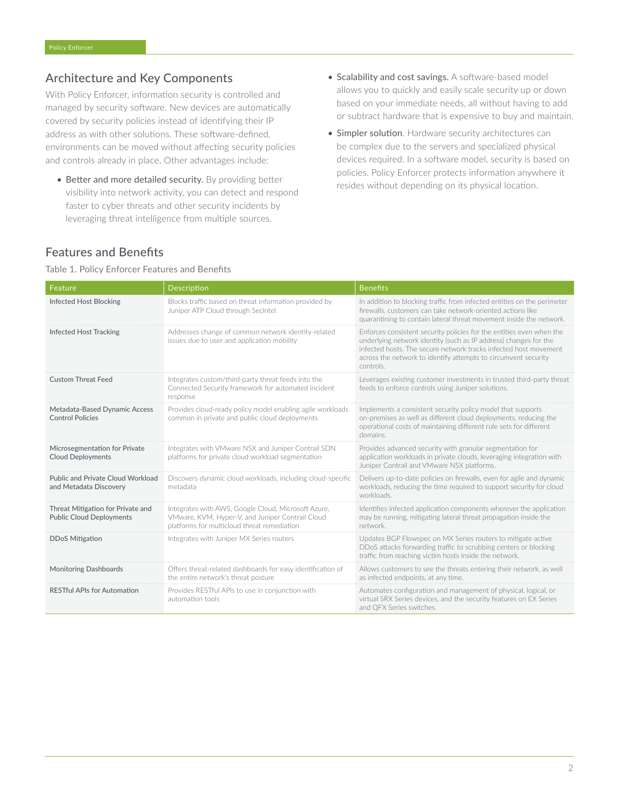## Architecture and Key Components

With Policy Enforcer, information security is controlled and managed by security software. New devices are automatically covered by security policies instead of identifying their IP address as with other solutions. These software-defined, environments can be moved without affecting security policies and controls already in place. Other advantages include:

- Better and more detailed security. By providing better visibility into network activity, you can detect and respond faster to cyber threats and other security incidents by leveraging threat intelligence from multiple sources.
- Scalability and cost savings. A software-based model allows you to quickly and easily scale security up or down based on your immediate needs, all without having to add or subtract hardware that is expensive to buy and maintain.
- Simpler solution. Hardware security architectures can be complex due to the servers and specialized physical devices required. In a software model, security is based on policies. Policy Enforcer protects information anywhere it resides without depending on its physical location.

## Features and Benefits

#### Table 1. Policy Enforcer Features and Benefits

| Feature                                                              | <b>Description</b>                                                                                                                                     | <b>Benefits</b>                                                                                                                                                                                                                                                                             |
|----------------------------------------------------------------------|--------------------------------------------------------------------------------------------------------------------------------------------------------|---------------------------------------------------------------------------------------------------------------------------------------------------------------------------------------------------------------------------------------------------------------------------------------------|
| <b>Infected Host Blocking</b>                                        | Blocks traffic based on threat information provided by<br>Juniper ATP Cloud through SecIntel                                                           | In addition to blocking traffic from infected entities on the perimeter<br>firewalls, customers can take network-oriented actions like<br>quarantining to contain lateral threat movement inside the network.                                                                               |
| <b>Infected Host Tracking</b>                                        | Addresses change of common network identity-related<br>issues due to user and application mobility                                                     | Enforces consistent security policies for the entities even when the<br>underlying network identity (such as IP address) changes for the<br>infected hosts. The secure network tracks infected host movement<br>across the network to identify attempts to circumvent security<br>controls. |
| <b>Custom Threat Feed</b>                                            | Integrates custom/third-party threat feeds into the<br>Connected Security framework for automated incident<br>response                                 | Leverages existing customer investments in trusted third-party threat<br>feeds to enforce controls using Juniper solutions.                                                                                                                                                                 |
| Metadata-Based Dynamic Access<br><b>Control Policies</b>             | Provides cloud-ready policy model enabling agile workloads<br>common in private and public cloud deployments                                           | Implements a consistent security policy model that supports<br>on-premises as well as different cloud deployments, reducing the<br>operational costs of maintaining different rule sets for different<br>domains.                                                                           |
| Microsegmentation for Private<br><b>Cloud Deployments</b>            | Integrates with VMware NSX and Juniper Contrail SDN<br>platforms for private cloud workload segmentation                                               | Provides advanced security with granular segmentation for<br>application workloads in private clouds, leveraging integration with<br>Juniper Contrail and VMware NSX platforms.                                                                                                             |
| <b>Public and Private Cloud Workload</b><br>and Metadata Discovery   | Discovers dynamic cloud workloads, including cloud-specific<br>metadata                                                                                | Delivers up-to-date policies on firewalls, even for agile and dynamic<br>workloads, reducing the time required to support security for cloud<br>workloads.                                                                                                                                  |
| Threat Mitigation for Private and<br><b>Public Cloud Deployments</b> | Integrates with AWS, Google Cloud, Microsoft Azure,<br>VMware, KVM, Hyper-V, and Juniper Contrail Cloud<br>platforms for multicloud threat remediation | Identifies infected application components wherever the application<br>may be running, mitigating lateral threat propagation inside the<br>network.                                                                                                                                         |
| <b>DDoS Mitigation</b>                                               | Integrates with Juniper MX Series routers                                                                                                              | Updates BGP Flowspec on MX Series routers to mitigate active<br>DDoS attacks forwarding traffic to scrubbing centers or blocking<br>traffic from reaching victim hosts inside the network.                                                                                                  |
| <b>Monitoring Dashboards</b>                                         | Offers threat-related dashboards for easy identification of<br>the entire network's threat posture                                                     | Allows customers to see the threats entering their network, as well<br>as infected endpoints, at any time.                                                                                                                                                                                  |
| <b>RESTful APIs for Automation</b>                                   | Provides RESTful APIs to use in conjunction with<br>automation tools                                                                                   | Automates configuration and management of physical, logical, or<br>virtual SRX Series devices, and the security features on EX Series<br>and QFX Series switches.                                                                                                                           |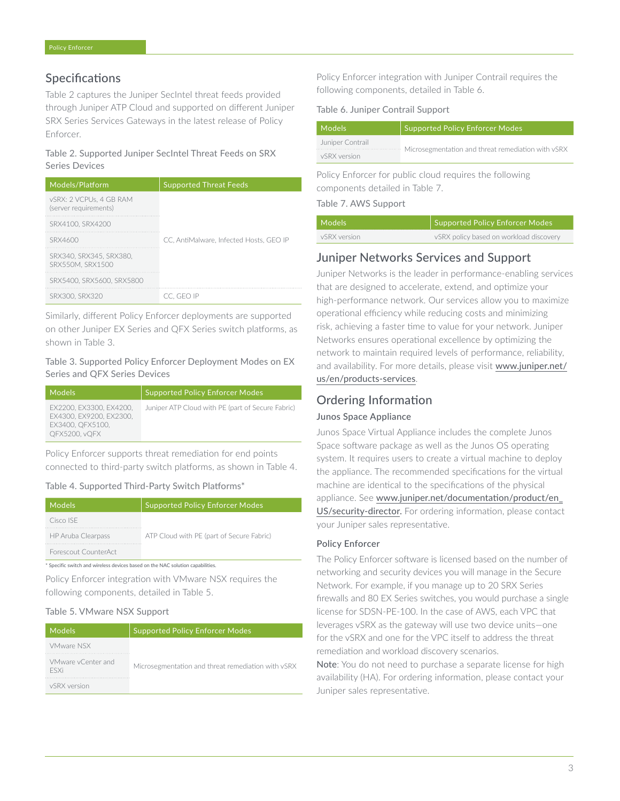## Specifications

Table 2 captures the Juniper SecIntel threat feeds provided through Juniper ATP Cloud and supported on different Juniper SRX Series Services Gateways in the latest release of Policy Enforcer.

#### Table 2. Supported Juniper SecIntel Threat Feeds on SRX Series Devices

| Models/Platform                                  | <b>Supported Threat Feeds</b>           |
|--------------------------------------------------|-----------------------------------------|
| vSRX: 2 VCPUs, 4 GB RAM<br>(server requirements) |                                         |
| SRX4100, SRX4200                                 |                                         |
| SRX4600                                          | CC. AntiMalware. Infected Hosts. GEO IP |
| SRX340, SRX345, SRX380,<br>SRX550M, SRX1500      |                                         |
| SRX5400, SRX5600, SRX5800                        |                                         |
| SRX300, SRX320                                   | CC. GEO IP                              |

Similarly, different Policy Enforcer deployments are supported on other Juniper EX Series and QFX Series switch platforms, as shown in Table 3.

## Table 3. Supported Policy Enforcer Deployment Modes on EX Series and QFX Series Devices

| Models'                                                                                        | <b>Supported Policy Enforcer Modes</b>            |
|------------------------------------------------------------------------------------------------|---------------------------------------------------|
| EX2200, EX3300, EX4200,<br>EX4300, EX9200, EX2300,<br>EX3400, OFX5100.<br><b>OFX5200, vOFX</b> | Juniper ATP Cloud with PE (part of Secure Fabric) |

Policy Enforcer supports threat remediation for end points connected to third-party switch platforms, as shown in Table 4.

### Table 4. Supported Third-Party Switch Platforms\*

| Models                                                                         | <b>Supported Policy Enforcer Modes</b>    |  |
|--------------------------------------------------------------------------------|-------------------------------------------|--|
| Cisco ISE                                                                      |                                           |  |
| HP Aruba Clearpass                                                             | ATP Cloud with PE (part of Secure Fabric) |  |
| Forescout CounterAct                                                           |                                           |  |
| * Specific switch and wireless devices based on the NAC solution capabilities. |                                           |  |

Policy Enforcer integration with VMware NSX requires the following components, detailed in Table 5.

### Table 5. VMware NSX Support

| Models                            | <b>Supported Policy Enforcer Modes</b>             |
|-----------------------------------|----------------------------------------------------|
| VMware NSX                        |                                                    |
| VMware vCenter and<br><b>FSXi</b> | Microsegmentation and threat remediation with vSRX |
| vSRX version                      |                                                    |

Policy Enforcer integration with Juniper Contrail requires the following components, detailed in Table 6.

#### Table 6. Juniper Contrail Support

| Models           | Supported Policy Enforcer Modes                    |  |
|------------------|----------------------------------------------------|--|
| Juniper Contrail |                                                    |  |
| vSRX version     | Microsegmentation and threat remediation with vSRX |  |

Policy Enforcer for public cloud requires the following components detailed in Table 7.

Table 7. AWS Support

| Models       | Supported Policy Enforcer Modes         |
|--------------|-----------------------------------------|
| vSRX version | vSRX policy based on workload discovery |

## Juniper Networks Services and Support

Juniper Networks is the leader in performance-enabling services that are designed to accelerate, extend, and optimize your high-performance network. Our services allow you to maximize operational efficiency while reducing costs and minimizing risk, achieving a faster time to value for your network. Juniper Networks ensures operational excellence by optimizing the network to maintain required levels of performance, reliability, and availability. For more details, please visit [www.juniper.net/](http://www.juniper.net/us/en/products-services) [us/en/products-services](http://www.juniper.net/us/en/products-services).

## Ordering Information

### Junos Space Appliance

Junos Space Virtual Appliance includes the complete Junos Space software package as well as the Junos OS operating system. It requires users to create a virtual machine to deploy the appliance. The recommended specifications for the virtual machine are identical to the specifications of the physical appliance. See [www.juniper.net/documentation/product/en\\_](https://www.juniper.net/documentation/product/en_US/security-director) [US/security-director.](https://www.juniper.net/documentation/product/en_US/security-director) For ordering information, please contact your Juniper sales representative.

### Policy Enforcer

The Policy Enforcer software is licensed based on the number of networking and security devices you will manage in the Secure Network. For example, if you manage up to 20 SRX Series firewalls and 80 EX Series switches, you would purchase a single license for SDSN-PE-100. In the case of AWS, each VPC that leverages vSRX as the gateway will use two device units—one for the vSRX and one for the VPC itself to address the threat remediation and workload discovery scenarios.

Note: You do not need to purchase a separate license for high availability (HA). For ordering information, please contact your Juniper sales representative.